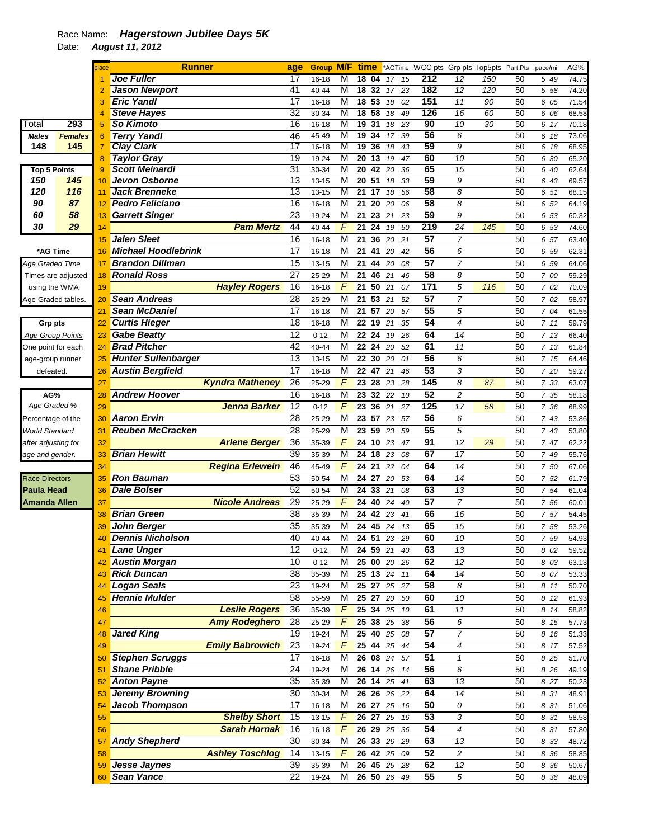## Race Name: *Hagerstown Jubilee Days 5K*

Date: *August 11, 2012* 

|                         |                    | place          | <b>Runner</b>              |                 | age             |           |                |                    |                 |             |                 | <b>Group M/F time</b> *AGTime WCC pts Grp pts Top5pts Part.Pts |                 |    | pace/mi | AG%   |
|-------------------------|--------------------|----------------|----------------------------|-----------------|-----------------|-----------|----------------|--------------------|-----------------|-------------|-----------------|----------------------------------------------------------------|-----------------|----|---------|-------|
|                         |                    |                | <b>Joe Fuller</b>          | 17              |                 | $16 - 18$ | M              | 18                 | 04              | 17<br>15    | 212             | $\overline{12}$                                                | 150             | 50 | 5 49    | 74.75 |
|                         |                    |                | <b>Jason Newport</b>       | 41              |                 | 40-44     | M              | 18                 | 32              | 23<br>17    | 182             | 12                                                             | 120             | 50 | 5 58    | 74.20 |
|                         |                    |                | <b>Eric Yandl</b>          | $\overline{17}$ |                 | $16 - 18$ | M              | 18, 53             |                 | 18<br>02    | 151             | 11                                                             | $\overline{90}$ | 50 | 6 05    | 71.54 |
|                         |                    | 4              | <b>Steve Hayes</b>         |                 | 32              | 30-34     | M              | 18,58              |                 | 18<br>49    | 126             | 16                                                             | 60              | 50 | 6 06    | 68.58 |
| Total                   | 293                | 5              | <b>So Kimoto</b>           |                 | 16              | $16 - 18$ | M              | 19                 | 31              | 23<br>18    | 90              | 10                                                             | $\overline{30}$ | 50 | 6 17    | 70.18 |
| <b>Males</b>            | <b>Females</b>     | 6              | <b>Terry Yandl</b>         | 46              |                 | 45-49     | M              | 19                 | 34              | 39<br>17    | 56              | 6                                                              |                 | 50 | 6 18    | 73.06 |
| 148                     | 145                | $\overline{7}$ | <b>Clay Clark</b>          | 17              |                 | 16-18     | M              | 19.36              |                 | 18<br>43    | 59              | 9                                                              |                 | 50 | 6 18    | 68.95 |
|                         |                    | 8              | <b>Taylor Gray</b>         |                 | 19              | 19-24     | M              | 20 13              |                 | 19<br>47    | 60              | 10                                                             |                 | 50 | 6 30    | 65.20 |
| <b>Top 5 Points</b>     |                    | 9              | <b>Scott Meinardi</b>      | 31              |                 | 30-34     | M              | $20\quad42$        |                 | 20<br>36    | 65              | 15                                                             |                 | 50 | 6 40    | 62.64 |
| 150                     | 145                | 10             | Jevon Osborne              |                 | $\overline{13}$ | $13 - 15$ | M              | $\overline{20}$    | 51              | 33<br>18    | 59              | 9                                                              |                 | 50 | 6 43    | 69.57 |
| 120                     | 116                | 11             | <b>Jack Brenneke</b>       |                 | 13              | $13 - 15$ | M              | $\overline{21}$    | $\overline{17}$ | 18<br>56    | 58              | 8                                                              |                 | 50 | 6 51    | 68.15 |
| 90                      | 87                 | 12             | <b>Pedro Feliciano</b>     |                 | 16              | $16 - 18$ | M              | $21\overline{20}$  |                 | 20<br>06    | 58              | 8                                                              |                 | 50 | 6 52    | 64.19 |
| 60                      | 58                 | 13             | <b>Garrett Singer</b>      | 23              |                 | 19-24     | M              | 21 23              |                 | 23<br>21    | 59              | 9                                                              |                 | 50 | 6 53    | 60.32 |
| 30                      | 29                 | 14             | <b>Pam Mertz</b>           | 44              |                 | 40-44     | $\sqrt{2}$     | 21                 | 24              | 19<br>50    | 219             | 24                                                             | 145             | 50 | 6 53    | 74.60 |
|                         |                    | 15             | <b>Jalen Sleet</b>         |                 | 16              | 16-18     | $\overline{M}$ | 21                 |                 | 36 20 21    | 57              | $\overline{7}$                                                 |                 | 50 | 6 57    | 63.40 |
| *AG Time                |                    | 16             | <b>Michael Hoodlebrink</b> | 17              |                 | $16 - 18$ | M              | 21                 | 41              | 20<br>42    | 56              | 6                                                              |                 | 50 | 6 59    | 62.31 |
| Age Graded Time         |                    | 17             | <b>Brandon Dillman</b>     |                 | 15              | 13-15     | M              | 21                 | 44              | 20<br>08    | $\overline{57}$ | $\overline{7}$                                                 |                 | 50 | 6 59    | 64.06 |
|                         | Times are adjusted | 18             | <b>Ronald Ross</b>         | $\overline{27}$ |                 | 25-29     | M              | $21 \overline{46}$ |                 | 21<br>46    | $\overline{58}$ | 8                                                              |                 | 50 | 7 00    | 59.29 |
|                         |                    |                | <b>Hayley Rogers</b>       | 16              |                 |           | $\overline{F}$ | 21 50 21           |                 | 07          | 171             | 5                                                              | 116             | 50 | 7 02    | 70.09 |
| using the WMA           |                    | 19             | <b>Sean Andreas</b>        |                 | $\overline{28}$ | 16-18     | M              | $21$ 53 $21$       |                 |             | 57              |                                                                |                 |    |         |       |
|                         | Age-Graded tables. | 20             |                            |                 |                 | 25-29     |                |                    |                 | 52          |                 | 7                                                              |                 | 50 | 7 02    | 58.97 |
|                         |                    | 21             | <b>Sean McDaniel</b>       |                 | 17              | 16-18     | M              | 21 57 20           |                 | 57          | 55              | 5                                                              |                 | 50 | 7 04    | 61.55 |
| <b>Grp pts</b>          |                    | 22             | <b>Curtis Hieger</b>       |                 | 18              | $16 - 18$ | M              | 22 19 21           |                 | 35          | 54              | 4                                                              |                 | 50 | 711     | 59.79 |
| <b>Age Group Points</b> |                    | 23             | <b>Gabe Beatty</b>         | 12              |                 | $0 - 12$  | M              | 22 24              |                 | 19<br>26    | 64              | 14                                                             |                 | 50 | 7 13    | 66.40 |
| One point for each      |                    | 24             | <b>Brad Pitcher</b>        | 42              |                 | 40-44     | M              | 22 24              |                 | 52<br>20    | 61              | 11                                                             |                 | 50 | 7 13    | 61.84 |
| age-group runner        |                    | 25             | <b>Hunter Sullenbarger</b> |                 | 13              | $13 - 15$ | M              | 22                 | 30              | 20<br>01    | 56              | 6                                                              |                 | 50 | 7 15    | 64.46 |
| defeated.               |                    | 26             | <b>Austin Bergfield</b>    | 17              |                 | $16 - 18$ | M              | 22 47              |                 | 21<br>46    | 53              | 3                                                              |                 | 50 | 7 20    | 59.27 |
|                         |                    | 27             | <b>Kyndra Matheney</b>     | 26              |                 | 25-29     | $\sqrt{2}$     | 23 28              |                 | 23<br>28    | 145             | 8                                                              | 87              | 50 | 7 33    | 63.07 |
| AG%                     |                    | 28             | <b>Andrew Hoover</b>       |                 | 16              | $16 - 18$ | M              | 23 32 22           |                 | 10          | $\overline{52}$ | $\overline{c}$                                                 |                 | 50 | 7 35    | 58.18 |
| Age Graded %            |                    | 29             | <b>Jenna Barker</b>        | 12              |                 | $0 - 12$  | F              | 23 36              |                 | 21<br>27    | 125             | 17                                                             | 58              | 50 | 7 36    | 68.99 |
| Percentage of the       |                    | 30             | <b>Aaron Ervin</b>         | 28              |                 | 25-29     | M              |                    |                 | 23 57 23 57 | 56              | 6                                                              |                 | 50 | 7 43    | 53.86 |
| <b>World Standard</b>   |                    | 31             | <b>Reuben McCracken</b>    | $\overline{28}$ |                 | 25-29     | M              | 23                 | 59              | 23<br>59    | 55              | 5                                                              |                 | 50 | 7 43    | 53.80 |
| after adjusting for     |                    | 32             | <b>Arlene Berger</b>       | 36              |                 | 35-39     | F              | 24 10 23           |                 | 47          | 91              | 12                                                             | 29              | 50 | 7 47    | 62.22 |
| age and gender.         |                    | 33             | <b>Brian Hewitt</b>        |                 | 39              | 35-39     | M              | 24 18              |                 | 23<br>08    | 67              | 17                                                             |                 | 50 | 7 49    | 55.76 |
|                         |                    | 34             | <b>Regina Erlewein</b>     | 46              |                 | 45-49     | $\sqrt{2}$     | 24 21              |                 | 22<br>04    | 64              | 14                                                             |                 | 50 | 7 50    | 67.06 |
| <b>Race Directors</b>   |                    | 35             | <b>Ron Bauman</b>          | 53              |                 | 50-54     | M              | 24 27              |                 | 20<br>53    | 64              | 14                                                             |                 | 50 | 7 52    | 61.79 |
| <b>Paula Head</b>       |                    | 36             | <b>Dale Bolser</b>         | 52              |                 | 50-54     | M              | 24 33 21           |                 | 08          | 63              | 13                                                             |                 | 50 | 7 54    | 61.04 |
| <b>Amanda Allen</b>     |                    | 37             | <b>Nicole Andreas</b>      | 29              |                 | 25-29     | F              | 24 40 24           |                 | 40          | 57              | $\overline{7}$                                                 |                 | 50 | 7 56    | 60.01 |
|                         |                    | 38             | <b>Brian Green</b>         |                 | 38              | 35-39     | M              | 24 42 23           |                 | 41          | 66              | 16                                                             |                 | 50 | 7 57    | 54.45 |
|                         |                    |                |                            |                 | 35              |           | M              |                    |                 | 24 45 24 13 | 65              |                                                                |                 |    |         |       |
|                         |                    | 39             | John Berger                |                 |                 | 35-39     |                |                    |                 |             | 60              | 15                                                             |                 | 50 | 7 58    | 53.26 |
|                         |                    |                | <b>Dennis Nicholson</b>    |                 | 40              | 40-44     | M              |                    |                 | 24 51 23 29 |                 | 10                                                             |                 | 50 | 7 59    | 54.93 |
|                         |                    | 41             | <b>Lane Unger</b>          |                 | 12              | $0 - 12$  | м              |                    |                 | 24 59 21 40 | 63              | 13                                                             |                 | 50 | 8 02    | 59.52 |
|                         |                    | 42             | <b>Austin Morgan</b>       |                 | 10              | $0 - 12$  | м              |                    |                 | 25 00 20 26 | 62              | 12                                                             |                 | 50 | 8 0 3   | 63.13 |
|                         |                    | 43             | <b>Rick Duncan</b>         |                 | 38              | 35-39     | М              |                    |                 | 25 13 24 11 | 64              | 14                                                             |                 | 50 | 8 07    | 53.33 |
|                         |                    | 44             | <b>Logan Seals</b>         |                 | 23              | 19-24     | М              |                    |                 | 25 27 25 27 | 58              | 8                                                              |                 | 50 | 8 11    | 50.70 |
|                         |                    | 45             | <b>Hennie Mulder</b>       |                 | 58              | 55-59     | М              |                    |                 | 25 27 20 50 | 60              | 10                                                             |                 | 50 | 8 12    | 61.93 |
|                         |                    | 46             | <b>Leslie Rogers</b>       |                 | 36              | 35-39     | F              |                    |                 | 25 34 25 10 | 61              | $11$                                                           |                 | 50 | 8 14    | 58.82 |
|                         |                    | 47             | <b>Amy Rodeghero</b>       | 28              |                 | 25-29     | F              |                    |                 | 25 38 25 38 | 56              | 6                                                              |                 | 50 | 8 15    | 57.73 |
|                         |                    | 48             | <b>Jared King</b>          |                 | 19              | 19-24     | M              |                    |                 | 25 40 25 08 | 57              | $\overline{7}$                                                 |                 | 50 | 8 16    | 51.33 |
|                         |                    | 49             | <b>Emily Babrowich</b>     | 23              |                 | 19-24     | F              |                    |                 | 25 44 25 44 | 54              | 4                                                              |                 | 50 | 8 17    | 57.52 |
|                         |                    | 50             | <b>Stephen Scruggs</b>     | 17              |                 | $16 - 18$ | м              |                    |                 | 26 08 24 57 | 51              | $\mathbf{1}$                                                   |                 | 50 | 8 25    | 51.70 |
|                         |                    | 51             | <b>Shane Pribble</b>       |                 | 24              | 19-24     | М              |                    |                 | 26 14 26 14 | 56              | 6                                                              |                 | 50 | 8 2 6   | 49.19 |
|                         |                    | 52             | <b>Anton Payne</b>         |                 | 35              | 35-39     | Μ              |                    |                 | 26 14 25 41 | 63              | 13                                                             |                 | 50 | 8 27    | 50.23 |
|                         |                    | 53             | <b>Jeremy Browning</b>     |                 | 30              | 30-34     | М              |                    |                 | 26 26 26 22 | 64              | 14                                                             |                 | 50 | 8 31    | 48.91 |
|                         |                    | 54             | <b>Jacob Thompson</b>      | 17              |                 | 16-18     | M              |                    |                 | 26 27 25 16 | 50              | 0                                                              |                 | 50 | 8 31    | 51.06 |
|                         |                    | 55             | <b>Shelby Short</b>        | 15              |                 | 13-15     | F              |                    |                 | 26 27 25 16 | 53              | 3                                                              |                 | 50 | 8 31    | 58.58 |
|                         |                    |                | <b>Sarah Hornak</b>        | 16              |                 | 16-18     | $\sqrt{2}$     |                    |                 | 26 29 25 36 | 54              | 4                                                              |                 | 50 |         |       |
|                         |                    | 56             |                            |                 |                 |           |                |                    |                 |             |                 |                                                                |                 |    | 8 31    | 57.80 |
|                         |                    | 57             | <b>Andy Shepherd</b>       |                 | 30              | 30-34     | M              |                    |                 | 26 33 26 29 | 63              | 13                                                             |                 | 50 | 8 3 3   | 48.72 |
|                         |                    | 58             | <b>Ashley Toschlog</b>     |                 | 14              | $13 - 15$ | F              |                    |                 | 26 42 25 09 | 52              | $\overline{c}$                                                 |                 | 50 | 8 36    | 58.85 |
|                         |                    | 59             | Jesse Jaynes               |                 | 39              | 35-39     | M              |                    |                 | 26 45 25 28 | 62              | 12                                                             |                 | 50 | 8 36    | 50.67 |
|                         |                    | 60             | Sean Vance                 |                 | 22              | 19-24     | M              |                    |                 | 26 50 26 49 | 55              | 5                                                              |                 | 50 | 8 38    | 48.09 |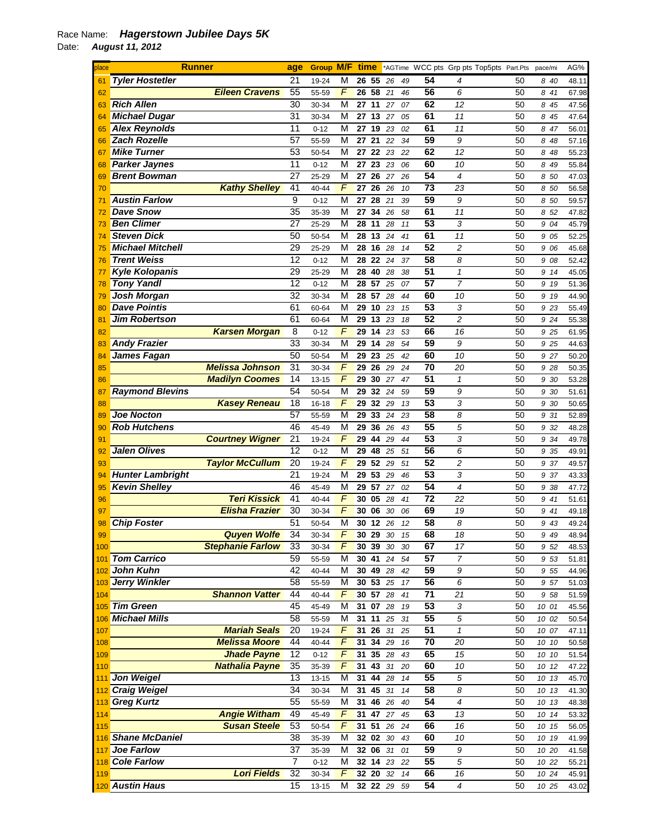## Race Name: *Hagerstown Jubilee Days 5K*

Date: *August 11, 2012* 

| place            | <b>Runner</b>           | age             | <b>Group M/F</b> |                | time          |                    |          |    |                 |                 | *AGTime WCC pts Grp pts Top5pts Part.Pts | pace/mi | AG%   |
|------------------|-------------------------|-----------------|------------------|----------------|---------------|--------------------|----------|----|-----------------|-----------------|------------------------------------------|---------|-------|
| 61               | <b>Tyler Hostetler</b>  | 21              | 19-24            | М              |               | 26 55              | 26       | 49 | 54              | 4               | 50                                       | 840     | 48.11 |
| 62               | <b>Eileen Cravens</b>   | 55              | 55-59            | F              | 26            | 58                 | 21       | 46 | 56              | 6               | 50                                       | 8 41    | 67.98 |
| 63               | <b>Rich Allen</b>       | 30              | 30-34            | М              | 27            | 11                 | 27       | 07 | 62              | 12              | 50                                       | 845     | 47.56 |
| 64               | <b>Michael Dugar</b>    | 31              | 30-34            | M              | 27            | 13                 | 27       | 05 | 61              | 11              | 50                                       | 8 45    | 47.64 |
| 65               | <b>Alex Reynolds</b>    | 11              | $0 - 12$         | M              | 27            | 19                 | 23       | 02 | 61              | 11              | 50                                       | 847     | 56.01 |
| 66               | <b>Zach Rozelle</b>     | 57              | 55-59            | M              | 27 21         |                    | 22       | 34 | 59              | 9               | 50                                       | 8 48    | 57.16 |
| 67               | <b>Mike Turner</b>      | 53              | 50-54            | M              | 27            | 22                 | 23       | 22 | 62              | 12              | 50                                       | 8 48    | 55.23 |
| 68               | <b>Parker Jaynes</b>    | $\overline{11}$ | $0 - 12$         | М              | 27            | 23                 | 23       | 06 | 60              | 10              | 50                                       | 8<br>49 | 55.84 |
| 69               | <b>Brent Bowman</b>     | 27              | 25-29            | M              | 27            | 26                 | 27       | 26 | 54              | 4               | 50                                       | 8 50    | 47.03 |
| 70               | <b>Kathy Shelley</b>    | 41              | 40-44            | F              | 27            | 26                 | 26       | 10 | $\overline{73}$ | 23              | 50                                       | 8 50    | 56.58 |
|                  | <b>Austin Farlow</b>    | 9               |                  | M              |               |                    |          |    | 59              |                 |                                          |         |       |
| 71               | <b>Dave Snow</b>        | $\overline{35}$ | $0 - 12$         |                | 27            | 28                 | 21       | 39 | 61              | 9               | 50                                       | 8 50    | 59.57 |
| 72               |                         |                 | 35-39            | М              | 27            | 34                 | 26       | 58 |                 | 11              | 50                                       | 8 52    | 47.82 |
| 73               | <b>Ben Climer</b>       | 27              | 25-29            | M              | 28            | 11                 | 28       | 11 | 53              | 3               | 50                                       | 9 04    | 45.79 |
| 74               | <b>Steven Dick</b>      | 50              | 50-54            | M              | 28            | 13                 | 24       | 41 | 61              | 11              | 50                                       | 9 05    | 52.25 |
| 75               | <b>Michael Mitchell</b> | 29              | 25-29            | M              | 28            | 16                 | 28       | 14 | 52              | 2               | 50                                       | 9 06    | 45.68 |
| 76               | <b>Trent Weiss</b>      | 12              | $0 - 12$         | М              | 28            | 22                 | 24       | 37 | 58              | 8               | 50                                       | 9 08    | 52.42 |
| 77               | <b>Kyle Kolopanis</b>   | 29              | 25-29            | M              | 28            | 40                 | 28       | 38 | 51              | $\mathbf{1}$    | 50                                       | 9 14    | 45.05 |
| 78               | <b>Tony Yandl</b>       | 12              | $0 - 12$         | М              | 28            | 57                 | 25       | 07 | 57              | 7               | 50                                       | 9 19    | 51.36 |
| 79               | <b>Josh Morgan</b>      | 32              | 30-34            | М              |               | 28 57              | 28       | 44 | 60              | 10              | 50                                       | 9 19    | 44.90 |
| 80               | <b>Dave Pointis</b>     | 61              | 60-64            | M              | 29            | 10                 | 23       | 15 | 53              | 3               | 50                                       | 9 23    | 55.49 |
| 81               | <b>Jim Robertson</b>    | 61              | 60-64            | M              | 29            | 13                 | 23       | 18 | 52              | $\overline{c}$  | 50                                       | 9 24    | 55.38 |
| 82               | <b>Karsen Morgan</b>    | 8               | $0 - 12$         | F              | 29            | 14                 | 23       | 53 | 66              | 16              | 50                                       | 9 25    | 61.95 |
| 83               | <b>Andy Frazier</b>     | 33              | 30-34            | M              | 29            | 14                 | 28       | 54 | 59              | 9               | 50                                       | 9 25    | 44.63 |
| 84               | <b>James Fagan</b>      | 50              | 50-54            | M              | 29            | 23                 | 25       | 42 | 60              | 10              | 50                                       | 9 27    | 50.20 |
| 85               | <b>Melissa Johnson</b>  | 31              | 30-34            | F              | 29            | 26                 | 29       | 24 | 70              | 20              | 50                                       | 9 28    | 50.35 |
| 86               | <b>Madilyn Coomes</b>   | 14              | $13 - 15$        | F              | 29            | 30                 | 27       | 47 | 51              | $\mathcal I$    | 50                                       | 9 30    | 53.28 |
| 87               | <b>Raymond Blevins</b>  | 54              | 50-54            | М              | 29            | 32                 | 24       | 59 | 59              | 9               | 50                                       | 9 30    | 51.61 |
| 88               | <b>Kasey Reneau</b>     | 18              | 16-18            | F              | 29            | 32                 | 29       | 13 | 53              | 3               | 50                                       | 9 30    | 50.65 |
| 89               | <b>Joe Nocton</b>       | 57              | 55-59            | M              | 29            | 33                 | 24       | 23 | 58              | 8               | 50                                       | 9 31    | 52.89 |
| 90               | <b>Rob Hutchens</b>     | 46              | 45-49            | M              | 29            | 36                 | 26       | 43 | 55              | 5               | 50                                       | 9 32    | 48.28 |
| 91               | <b>Courtney Wigner</b>  | 21              | 19-24            | F              | 29            | 44                 | 29       | 44 | 53              | 3               | 50                                       | 9 34    | 49.78 |
|                  | <b>Jalen Olives</b>     | 12              | $0 - 12$         | M              | 29            | 48                 | 25       | 51 | 56              | 6               | 50                                       | 9 35    | 49.91 |
| 92               | <b>Taylor McCullum</b>  | $\overline{20}$ |                  | F              | 29            | 52 29              |          |    | 52              | 2               |                                          |         |       |
| 93               | <b>Hunter Lambright</b> | $\overline{21}$ | 19-24            | M              |               | 53                 |          | 51 | 53              |                 | 50                                       | 9 37    | 49.57 |
| 94               |                         |                 | 19-24            |                | 29            |                    | 29       | 46 | 54              | 3               | 50                                       | 9 37    | 43.33 |
| 95               | <b>Kevin Shelley</b>    | 46              | 45-49            | М              | 29            | 57                 | 27       | 02 |                 | 4               | 50                                       | 9 38    | 47.72 |
| 96               | <b>Teri Kissick</b>     | 41              | 40-44            | F              |               | 30 05              | 28       | 41 | 72              | 22              | 50                                       | 9 41    | 51.61 |
| 97               | <b>Elisha Frazier</b>   | 30              | 30-34            | F              | 30            | 06                 | 30       | 06 | 69              | 19              | 50                                       | 9 41    | 49.18 |
| 98               | <b>Chip Foster</b>      | 51              | 50-54            | М              | 30            | 12 26              |          | 12 | 58              | 8               | 50                                       | 9 43    | 49.24 |
| 99               | <b>Quyen Wolfe</b>      | 34              | 30-34            | $\overline{F}$ |               | 30 29 30           |          | 15 | 68              | $\overline{18}$ | 50                                       | 9 4 9   | 48.94 |
| 100              | <b>Stephanie Farlow</b> | 33              | 30-34            | F              |               | <b>30 39 30</b>    |          | 30 | 67              | 17              | 50                                       | 9 52    | 48.53 |
|                  | 101 Tom Carrico         | 59              | 55-59            | М              | $30 \quad 41$ |                    | 24       | 54 | 57              | 7               | 50                                       | 9 53    | 51.81 |
| 102 <sub>1</sub> | John Kuhn               | 42              | $40 - 44$        | M              |               | 30 49 28           |          | 42 | 59              | 9               | 50                                       | 9 55    | 44.96 |
|                  | 103 Jerry Winkler       | 58              | 55-59            | M              |               | 30 53 25           |          | 17 | 56              | 6               | 50                                       | 9 57    | 51.03 |
| 104              | <b>Shannon Vatter</b>   | 44              | 40-44            | F              |               | 30 57 28           |          | 41 | 71              | 21              | 50                                       | 9 58    | 51.59 |
|                  | 105 Tim Green           | 45              | 45-49            | M              |               | 31 07 28           |          | 19 | 53              | 3               | 50                                       | 10 01   | 45.56 |
|                  | 106 Michael Mills       | 58              | 55-59            | Μ              | 31 11         |                    | 25       | 31 | 55              | 5               | 50                                       | 10 02   | 50.54 |
| 107              | <b>Mariah Seals</b>     | $\overline{20}$ | 19-24            | F              | 31            | 26                 | 31       | 25 | 51              | $\mathbf{1}$    | 50                                       | 10 07   | 47.11 |
| 108              | <b>Melissa Moore</b>    | 44              | 40-44            | $\overline{F}$ | 31            | 34                 | 29       | 16 | 70              | 20              | 50                                       | 10 10   | 50.58 |
| 109              | <b>Jhade Payne</b>      | 12              | $0 - 12$         | $\overline{F}$ | 31            | 35 28              |          | 43 | 65              | 15              | 50                                       | 10 10   | 51.54 |
| 110              | <b>Nathalia Payne</b>   | 35              | 35-39            | F              | 31            |                    | 43 31    | 20 | 60              | 10              | 50                                       | 10 12   | 47.22 |
| 111              | <b>Jon Weigel</b>       | 13              | $13 - 15$        | М              | 31            | 44                 | 28       | 14 | 55              | 5               | 50                                       | 10 13   | 45.70 |
|                  | 112 Craig Weigel        | 34              | 30-34            | М              | 31            | 45 31              |          | 14 | 58              | 8               | 50                                       | 10 13   | 41.30 |
|                  | 113 Greg Kurtz          | 55              | 55-59            | M              | 31            | 46 26              |          | 40 | 54              | 4               | 50                                       | 10 13   | 48.38 |
| 114              | <b>Angie Witham</b>     | 49              | 45-49            | F              | 31            | $\overline{47}$ 27 |          | 45 | 63              | 13              | 50                                       | 10 14   | 53.32 |
| 115              | <b>Susan Steele</b>     | 53              | 50-54            | F              | 31            | 51                 | 26       | 24 | 66              | 16              | 50                                       | 10 15   | 56.05 |
|                  | 116 Shane McDaniel      | 38              | 35-39            | M              |               | 32 02 30           |          | 43 | 60              | 10              | 50                                       | 10 19   | 41.99 |
|                  | 117 Joe Farlow          | 37              | 35-39            | М              |               |                    | 32 06 31 | 01 | 59              | 9               | 50                                       | 10 20   | 41.58 |
|                  | 118 Cole Farlow         | $\overline{7}$  | $0 - 12$         | М              |               |                    | 32 14 23 | 22 | 55              | 5               | 50                                       | 10 22   | 55.21 |
|                  | <b>Lori Fields</b>      | 32              |                  | F              |               |                    |          |    | 66              |                 |                                          |         |       |
| 119              |                         |                 | 30-34            |                |               | 32 20 32           |          | 14 |                 | 16              | 50                                       | 10 24   | 45.91 |
|                  | 120 Austin Haus         | 15              | $13 - 15$        | М              |               |                    | 32 22 29 | 59 | 54              | 4               | 50                                       | 10 25   | 43.02 |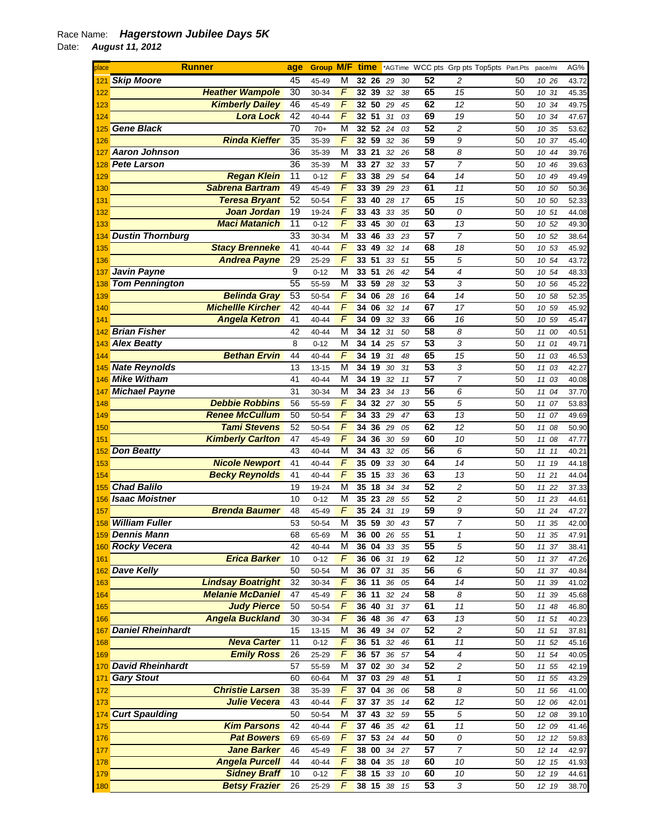## Race Name: *Hagerstown Jubilee Days 5K*  Date: *August 11, 2012*

| place |                          | <b>Runner</b>            | age             | <b>Group M/F</b> |                | time  |                   |    |    |                 | *AGTime WCC pts Grp pts Top5pts Part.Pts |    | pace/mi  | AG%   |
|-------|--------------------------|--------------------------|-----------------|------------------|----------------|-------|-------------------|----|----|-----------------|------------------------------------------|----|----------|-------|
| 121   | <b>Skip Moore</b>        |                          | 45              | 45-49            | М              |       | 32 26             | 29 | 30 | 52              | 2                                        | 50 | 10 26    | 43.72 |
| 122   |                          | <b>Heather Wampole</b>   | 30              | 30-34            | F              |       | 32 39             | 32 | 38 | 65              | 15                                       | 50 | 10 31    | 45.35 |
| 123   |                          | <b>Kimberly Dailey</b>   | 46              | 45-49            | F              |       | 32 50             | 29 | 45 | 62              | 12                                       | 50 | 10 34    | 49.75 |
| 124   |                          | <b>Lora Lock</b>         | 42              | 40-44            | F              |       | 32 51             | 31 | 03 | 69              | 19                                       | 50 | 10 34    | 47.67 |
| 125   | <b>Gene Black</b>        |                          | 70              | $70+$            | M              |       | 32 52             | 24 | 03 | 52              | $\overline{c}$                           | 50 | 10 35    | 53.62 |
| 126   |                          | <b>Rinda Kieffer</b>     | 35              | 35-39            | F              |       | 32 59             | 32 | 36 | 59              | 9                                        | 50 | 10 37    | 45.40 |
| 127   | <b>Aaron Johnson</b>     |                          | 36              | 35-39            | М              | 33 21 |                   | 32 | 26 | 58              | 8                                        | 50 | 10 44    | 39.76 |
| 128   | <b>Pete Larson</b>       |                          | 36              | 35-39            | М              | 33    | 27                | 32 | 33 | 57              | 7                                        | 50 | 10 46    | 39.63 |
| 129   |                          | <b>Regan Klein</b>       | 11              | $0 - 12$         | F              | 33    | 38                | 29 | 54 | 64              | 14                                       | 50 | 10 49    | 49.49 |
| 130   |                          | <b>Sabrena Bartram</b>   | 49              | 45-49            | F              | 33    | 39                | 29 | 23 | 61              | 11                                       | 50 | 10 50    | 50.36 |
| 131   |                          | <b>Teresa Bryant</b>     | 52              | 50-54            | F              | 33    | 40                | 28 | 17 | 65              | 15                                       | 50 | 10 50    | 52.33 |
| 132   |                          | <b>Joan Jordan</b>       | 19              | 19-24            | $\overline{F}$ | 33    | 43                | 33 | 35 | 50              | 0                                        | 50 | 10 51    | 44.08 |
|       |                          | <b>Maci Matanich</b>     | 11              |                  | F              | 33    | 45                | 30 | 01 | 63              | 13                                       | 50 |          | 49.30 |
| 133   |                          |                          | 33              | $0 - 12$         | M              |       |                   |    |    | 57              | $\overline{7}$                           |    | 10 52    |       |
| 134   | <b>Dustin Thornburg</b>  |                          |                 | 30-34            | F              |       | 33 46             | 33 | 23 |                 |                                          | 50 | 10 52    | 38.64 |
| 135   |                          | <b>Stacy Brenneke</b>    | $\overline{41}$ | 40-44            |                |       | 33 49             | 32 | 14 | 68              | 18                                       | 50 | 10 53    | 45.92 |
| 136   |                          | <b>Andrea Payne</b>      | 29              | 25-29            | F              | 33 51 |                   | 33 | 51 | 55              | 5                                        | 50 | 10 54    | 43.72 |
| 137   | <b>Javin Payne</b>       |                          | 9               | $0 - 12$         | М              |       | 33 51             | 26 | 42 | 54              | 4                                        | 50 | 10 54    | 48.33 |
| 138   | <b>Tom Pennington</b>    |                          | 55              | 55-59            | М              |       | 33 59             | 28 | 32 | 53              | 3                                        | 50 | 10 56    | 45.22 |
| 139   |                          | <b>Belinda Gray</b>      | 53              | 50-54            | F              | 34    | 06                | 28 | 16 | 64              | 14                                       | 50 | 10 58    | 52.35 |
| 140   |                          | <b>Michellle Kircher</b> | 42              | 40-44            | F              | 34    | 06                | 32 | 14 | 67              | 17                                       | 50 | 10 59    | 45.92 |
| 141   |                          | <b>Angela Ketron</b>     | 41              | 40-44            | $\overline{F}$ | 34    | 09                | 32 | 33 | 66              | 16                                       | 50 | 10 59    | 45.47 |
| 142   | <b>Brian Fisher</b>      |                          | 42              | 40-44            | М              |       | 34 12             | 31 | 50 | 58              | 8                                        | 50 | 11 00    | 40.51 |
| 143   | <b>Alex Beatty</b>       |                          | 8               | $0 - 12$         | М              | 34    | 14                | 25 | 57 | 53              | 3                                        | 50 | 11 01    | 49.71 |
| 144   |                          | <b>Bethan Ervin</b>      | 44              | 40-44            | F              |       | 34 19             | 31 | 48 | 65              | 15                                       | 50 | 11 03    | 46.53 |
| 145   | <b>Nate Reynolds</b>     |                          | 13              | 13-15            | М              | 34    | 19                | 30 | 31 | 53              | 3                                        | 50 | 11<br>03 | 42.27 |
| 146   | <b>Mike Witham</b>       |                          | 41              | 40-44            | М              | 34    | 19                | 32 | 11 | $\overline{57}$ | $\overline{7}$                           | 50 | 11 03    | 40.08 |
| 147   | <b>Michael Payne</b>     |                          | 31              | 30-34            | М              | 34    | 23                | 34 | 13 | 56              | 6                                        | 50 | 11 04    | 37.70 |
| 148   |                          | <b>Debbie Robbins</b>    | 56              | 55-59            | F              | 34    | 32 27             |    | 30 | 55              | 5                                        | 50 | 11 07    | 53.83 |
| 149   |                          | <b>Renee McCullum</b>    | 50              | 50-54            | F              | 34    | 33                | 29 | 47 | 63              | 13                                       | 50 | 11<br>07 | 49.69 |
| 150   |                          | <b>Tami Stevens</b>      | 52              | 50-54            | F              | 34    | 36                | 29 | 05 | 62              | 12                                       | 50 | 11 08    | 50.90 |
| 151   |                          | <b>Kimberly Carlton</b>  | 47              | 45-49            | F              | 34    | 36                | 30 | 59 | 60              | 10                                       | 50 | 11 08    | 47.77 |
| 152   | <b>Don Beatty</b>        |                          | 43              | 40-44            | М              |       | 34 43             | 32 | 05 | 56              | 6                                        | 50 | 11 11    | 40.21 |
| 153   |                          | <b>Nicole Newport</b>    | 41              | 40-44            | F              | 35    | 09                | 33 | 30 | 64              | 14                                       | 50 | 11<br>19 | 44.18 |
| 154   |                          | <b>Becky Reynolds</b>    | 41              | 40-44            | F              |       | 35 15             | 33 | 36 | 63              | 13                                       | 50 | 11 21    | 44.04 |
| 155   | <b>Chad Balilo</b>       |                          | 19              | 19-24            | М              |       | 35 18             | 34 | 34 | 52              | $\overline{c}$                           | 50 | 11 22    | 37.33 |
|       | <b>Isaac Moistner</b>    |                          | 10              |                  | М              |       | 35 23 28          |    |    | 52              | $\overline{c}$                           | 50 |          |       |
| 156   |                          | <b>Brenda Baumer</b>     |                 | $0 - 12$         | F              | 35    | 24                |    | 55 | 59              |                                          |    | 11 23    | 44.61 |
| 157   | <b>William Fuller</b>    |                          | 48              | 45-49            |                |       |                   | 31 | 19 | 57              | 9                                        | 50 | 11 24    | 47.27 |
| 158   |                          |                          | 53              | 50-54            | М              | 35    | -59               | 30 | 43 |                 | 7                                        | 50 | 11 35    | 42.00 |
|       | 159 Dennis Mann          |                          | 68              | 65-69            | M              |       | 36 00             | 26 | 55 | $\overline{51}$ | 1                                        | 50 | 11 35    | 47.91 |
|       | 160 Rocky Vecera         |                          | 42              | 40-44            | М              |       | <b>36 04 33</b>   |    | 35 | 55              | 5                                        | 50 | 11 37    | 38.41 |
| 161   |                          | <b>Erica Barker</b>      | 10              | $0 - 12$         | F              |       | 36 06 31          |    | 19 | 62              | 12                                       | 50 | 11 37    | 47.26 |
|       | 162 Dave Kelly           |                          | 50              | 50-54            | М              |       | 36 07 31          |    | 35 | 56              | 6                                        | 50 | 11 37    | 40.84 |
| 163   |                          | <b>Lindsay Boatright</b> | 32              | 30-34            | F              |       | 36 11             | 36 | 05 | 64              | 14                                       | 50 | 11 39    | 41.02 |
| 164   |                          | <b>Melanie McDaniel</b>  | 47              | 45-49            | F              |       | 36 11             | 32 | 24 | 58              | 8                                        | 50 | 11 39    | 45.68 |
| 165   |                          | <b>Judy Pierce</b>       | 50              | 50-54            | F              |       | 36 40             | 31 | 37 | 61              | 11                                       | 50 | 11 48    | 46.80 |
| 166   |                          | <b>Angela Buckland</b>   | 30              | 30-34            | F              |       | $36\overline{48}$ | 36 | 47 | 63              | 13                                       | 50 | 11 51    | 40.23 |
| 167   | <b>Daniel Rheinhardt</b> |                          | 15              | 13-15            | M              |       | 36 49             | 34 | 07 | 52              | $\overline{c}$                           | 50 | 11 51    | 37.81 |
| 168   |                          | <b>Neva Carter</b>       | 11              | $0 - 12$         | F              |       | 36 51             | 32 | 46 | 61              | 11                                       | 50 | 11 52    | 45.16 |
| 169   |                          | <b>Emily Ross</b>        | 26              | 25-29            | F              |       | 36 57             | 36 | 57 | 54              | 4                                        | 50 | 11 54    | 40.05 |
| 170   | <b>David Rheinhardt</b>  |                          | 57              | 55-59            | М              |       | 37 02 30          |    | 34 | 52              | 2                                        | 50 | 11 55    | 42.19 |
| 171   | <b>Gary Stout</b>        |                          | 60              | 60-64            | М              |       | 37 03 29          |    | 48 | 51              | 1                                        | 50 | 11 55    | 43.29 |
| 172   |                          | <b>Christie Larsen</b>   | 38              | 35-39            | F              |       | 37 04             | 36 | 06 | 58              | 8                                        | 50 | 11 56    | 41.00 |
| 173   |                          | <b>Julie Vecera</b>      | 43              | 40-44            | F              | 37    | 37                | 35 | 14 | 62              | 12                                       | 50 | 12 06    | 42.01 |
| 174   | <b>Curt Spaulding</b>    |                          | 50              | 50-54            | M              |       | $37 \, 43$        | 32 | 59 | 55              | 5                                        | 50 | 12 08    | 39.10 |
| 175   |                          | <b>Kim Parsons</b>       | 42              | 40-44            | F              |       | 37 46             | 35 | 42 | 61              | 11                                       | 50 | 12 09    | 41.46 |
| 176   |                          | <b>Pat Bowers</b>        | 69              | 65-69            | F              |       | 37 53 24          |    | 44 | 50              | 0                                        | 50 | 12 12    | 59.83 |
|       |                          | <b>Jane Barker</b>       | 46              | 45-49            | F              |       | 38 00 34          |    | 27 | 57              | $\overline{7}$                           | 50 | 12 14    |       |
| 177   |                          |                          |                 |                  | F              |       |                   |    |    |                 |                                          |    |          | 42.97 |
| 178   |                          | <b>Angela Purcell</b>    | 44              | 40-44            |                |       | 38 04             | 35 | 18 | 60              | 10                                       | 50 | 12 15    | 41.93 |
| 179   |                          | <b>Sidney Braff</b>      | 10              | $0 - 12$         | F              |       | 38 15 33          |    | 10 | 60              | 10                                       | 50 | 12 19    | 44.61 |
| 180   |                          | <b>Betsy Frazier</b>     | 26              | 25-29            | F              |       | 38 15 38          |    | 15 | 53              | 3                                        | 50 | 12 19    | 38.70 |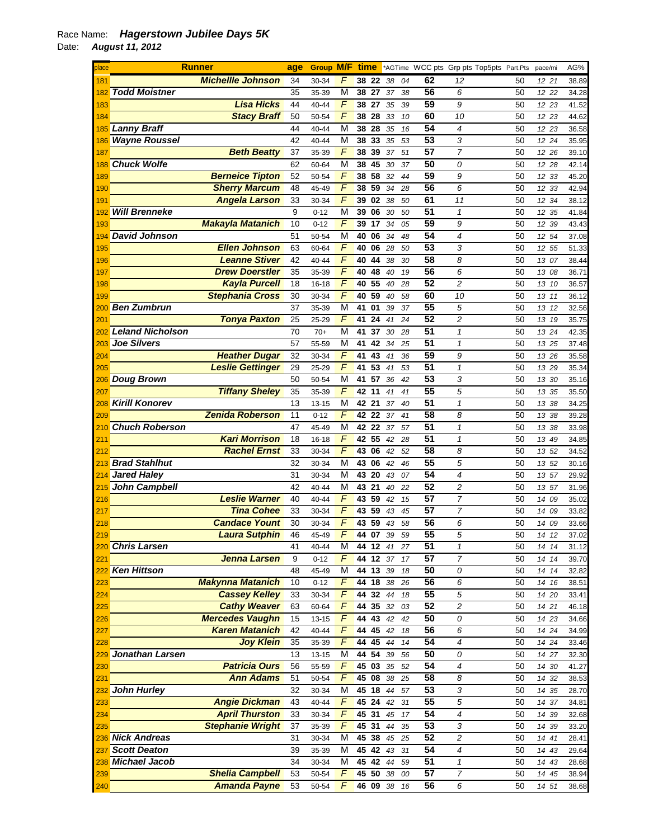## Race Name: *Hagerstown Jubilee Days 5K*  Date: *August 11, 2012*

| place | <b>Runner</b>            | age | <b>Group M/F</b> |        | time  |          |    |    |                 | *AGTime WCC pts Grp pts Top5pts Part.Pts |    | pace/mi | AG%   |
|-------|--------------------------|-----|------------------|--------|-------|----------|----|----|-----------------|------------------------------------------|----|---------|-------|
| 181   | <b>Michellle Johnson</b> | 34  | 30-34            | F      |       | 38 22    | 38 | 04 | 62              | 12                                       | 50 | 12 21   | 38.89 |
| 182   | <b>Todd Moistner</b>     | 35  | 35-39            | М      | 38 27 |          | 37 | 38 | 56              | 6                                        | 50 | 12 22   | 34.28 |
| 183   | <b>Lisa Hicks</b>        | 44  | 40-44            | F      | 38 27 |          | 35 | 39 | 59              | 9                                        | 50 | 12 23   | 41.52 |
|       | <b>Stacy Braff</b>       | 50  | 50-54            | F      | 38    | 28       | 33 | 10 | 60              | 10                                       | 50 | 12 23   | 44.62 |
| 184   | <b>Lanny Braff</b>       | 44  |                  | М      |       | 38 28    |    |    | 54              | 4                                        | 50 |         |       |
| 185   |                          | 42  | 40-44            | M      |       | 33       | 35 | 16 | 53              |                                          |    | 12 23   | 36.58 |
| 186   | <b>Wayne Roussel</b>     |     | 40-44            |        | 38    |          | 35 | 53 |                 | 3                                        | 50 | 12 24   | 35.95 |
| 187   | <b>Beth Beatty</b>       | 37  | 35-39            | F      | 38    | 39       | 37 | 51 | 57              | $\overline{7}$                           | 50 | 12 26   | 39.10 |
| 188   | <b>Chuck Wolfe</b>       | 62  | 60-64            | М      | 38    | 45       | 30 | 37 | 50              | 0                                        | 50 | 12 28   | 42.14 |
| 189   | <b>Berneice Tipton</b>   | 52  | 50-54            | F      |       | 38 58    | 32 | 44 | 59              | 9                                        | 50 | 12 33   | 45.20 |
| 190   | <b>Sherry Marcum</b>     | 48  | 45-49            | F      | 38    | 59       | 34 | 28 | 56              | 6                                        | 50 | 12 33   | 42.94 |
| 191   | <b>Angela Larson</b>     | 33  | 30-34            | F      | 39    | 02       | 38 | 50 | 61              | 11                                       | 50 | 12 34   | 38.12 |
| 192   | <b>Will Brenneke</b>     | 9   | $0 - 12$         | М      | 39    | 06       | 30 | 50 | 51              | $\mathcal I$                             | 50 | 12 35   | 41.84 |
| 193   | <b>Makayla Matanich</b>  | 10  | $0 - 12$         | F      | 39    | 17       | 34 | 05 | 59              | 9                                        | 50 | 12 39   | 43.43 |
| 194   | <b>David Johnson</b>     | 51  | 50-54            | M      | 40    | 06       | 34 | 48 | 54              | 4                                        | 50 | 12 54   | 37.08 |
| 195   | <b>Ellen Johnson</b>     | 63  | 60-64            | F      | 40    | 06       | 28 | 50 | 53              | 3                                        | 50 | 12 55   | 51.33 |
| 196   | <b>Leanne Stiver</b>     | 42  | 40-44            | F      | 40    | 44       | 38 | 30 | 58              | 8                                        | 50 | 13 07   | 38.44 |
| 197   | <b>Drew Doerstler</b>    | 35  | 35-39            | F      | 40    | 48       | 40 | 19 | 56              | 6                                        | 50 | 13 08   | 36.71 |
| 198   | <b>Kayla Purcell</b>     | 18  | 16-18            | F      | 40    | 55       | 40 | 28 | 52              | $\overline{c}$                           | 50 | 13 10   | 36.57 |
| 199   | <b>Stephania Cross</b>   | 30  | 30-34            | F      | 40    | 59       | 40 | 58 | 60              | 10                                       | 50 | 13 11   | 36.12 |
| 200   | <b>Ben Zumbrun</b>       | 37  | 35-39            | М      | 41    | 01       | 39 | 37 | 55              | 5                                        | 50 | 13 12   | 32.56 |
| 201   | <b>Tonya Paxton</b>      | 25  | 25-29            | F      | 41    | 24       | 41 | 24 | 52              | $\overline{\mathbf{c}}$                  | 50 | 13 19   | 35.75 |
| 202   | <b>Leland Nicholson</b>  | 70  | $70+$            | М      | 41    | 37       | 30 | 28 | 51              | 1                                        | 50 | 13 24   | 42.35 |
| 203   | <b>Joe Silvers</b>       | 57  | 55-59            | М      | 41    | 42       | 34 | 25 | 51              | $\mathbf{1}$                             | 50 | 13 25   | 37.48 |
| 204   | <b>Heather Dugar</b>     | 32  | 30-34            | F      | 41    | 43       | 41 | 36 | 59              | 9                                        | 50 | 13 26   | 35.58 |
| 205   | <b>Leslie Gettinger</b>  | 29  | 25-29            | F      | 41    | 53       | 41 | 53 | 51              | 1                                        | 50 | 13 29   | 35.34 |
| 206   | <b>Doug Brown</b>        | 50  | 50-54            | М      | 41    | 57       | 36 | 42 | 53              | 3                                        | 50 | 13 30   | 35.16 |
|       | <b>Tiffany Sheley</b>    | 35  |                  | F      | 42    | 11       | 41 | 41 | 55              | 5                                        | 50 | 13 35   |       |
| 207   | <b>Kirill Konorev</b>    | 13  | 35-39            | М      | 42 21 |          |    | 40 | 51              | $\mathbf{1}$                             | 50 |         | 35.50 |
| 208   | <b>Zenida Roberson</b>   |     | $13 - 15$        | F      | 42    |          | 37 |    | 58              | 8                                        |    | 13 38   | 34.25 |
| 209   | <b>Chuch Roberson</b>    | 11  | $0 - 12$         |        |       | 22       | 37 | 41 | 51              |                                          | 50 | 13 38   | 39.28 |
| 210   | <b>Kari Morrison</b>     | 47  | 45-49            | М<br>F | 42 55 | 42 22    | 37 | 57 | 51              | $\mathbf{1}$                             | 50 | 13 38   | 33.98 |
| 211   |                          | 18  | 16-18            |        |       |          | 42 | 28 |                 | $\mathbf{1}$                             | 50 | 13 49   | 34.85 |
| 212   | <b>Rachel Ernst</b>      | 33  | 30-34            | F      | 43    | 06       | 42 | 52 | 58              | 8                                        | 50 | 13 52   | 34.52 |
| 213   | <b>Brad Stahlhut</b>     | 32  | 30-34            | М      | 43    | 06       | 42 | 46 | 55              | 5                                        | 50 | 13 52   | 30.16 |
|       | <b>Jared Haley</b>       | 31  | 30-34            | М      |       | 43 20    | 43 | 07 | $\overline{54}$ | 4                                        | 50 | 13 57   | 29.92 |
| 215   | <b>John Campbell</b>     | 42  | 40-44            | М      | 43    | 21       | 40 | 22 | 52              | $\overline{c}$                           | 50 | 13 57   | 31.96 |
| 216   | <b>Leslie Warner</b>     | 40  | 40-44            | F      |       | 43 59    | 42 | 15 | $\overline{57}$ | $\overline{7}$                           | 50 | 14 09   | 35.02 |
| 217   | <b>Tina Cohee</b>        | 33  | 30-34            | F      | 43    | 59       | 43 | 45 | 57              | $\overline{7}$                           | 50 | 14 09   | 33.82 |
| 218   | <b>Candace Yount</b>     | 30  | 30-34            | F      |       | 43 59    | 43 | 58 | 56              | 6                                        | 50 | 14 09   | 33.66 |
| 219   | <b>Laura Sutphin</b>     | 46  | 45-49            | F      | 44    | 07       | 39 | 59 | $\overline{55}$ | 5                                        | 50 | 14 12   | 37.02 |
|       | 220 Chris Larsen         | 41  | 40-44            | М      |       | 44 12 41 |    | 27 | 51              | 1                                        | 50 | 14 14   | 31.12 |
| 221   | Jenna Larsen             | 9   | $0 - 12$         | F      |       | 44 12 37 |    | 17 | 57              | 7                                        | 50 | 14 14   | 39.70 |
|       | 222 Ken Hittson          | 48  | 45-49            | М      |       | 44 13 39 |    | 18 | 50              | 0                                        | 50 | 14 14   | 32.82 |
| 223   | <b>Makynna Matanich</b>  | 10  | $0 - 12$         | F      |       | 44 18 38 |    | 26 | 56              | 6                                        | 50 | 14 16   | 38.51 |
| 224   | <b>Cassey Kelley</b>     | 33  | 30-34            | F      |       | 44 32 44 |    | 18 | 55              | 5                                        | 50 | 14 20   | 33.41 |
| 225   | <b>Cathy Weaver</b>      | 63  | 60-64            | F      | 44    | 35       | 32 | 03 | 52              | $\overline{\mathbf{c}}$                  | 50 | 14 21   | 46.18 |
| 226   | <b>Mercedes Vaughn</b>   | 15  | $13 - 15$        | F      | 44    | 43       | 42 | 42 | 50              | 0                                        | 50 | 14 23   | 34.66 |
| 227   | <b>Karen Matanich</b>    | 42  | 40-44            | F      |       | 44 45    | 42 | 18 | 56              | 6                                        | 50 | 14 24   | 34.99 |
| 228   | <b>Joy Klein</b>         | 35  | 35-39            | F      |       | 44 45    | 44 | 14 | 54              | 4                                        | 50 | 14 24   | 33.46 |
| 229   | Jonathan Larsen          | 13  | $13 - 15$        | М      |       | 44 54    | 39 | 56 | 50              | 0                                        | 50 | 14 27   | 32.30 |
| 230   | <b>Patricia Ours</b>     | 56  | 55-59            | F      |       | 45 03 35 |    | 52 | 54              | 4                                        | 50 | 14 30   | 41.27 |
| 231   | <b>Ann Adams</b>         | 51  | 50-54            | F      |       | 45 08 38 |    | 25 | 58              | 8                                        | 50 | 14 32   | 38.53 |
|       | 232 John Hurley          | 32  | 30-34            | М      |       | 45 18    | 44 | 57 | 53              | 3                                        | 50 | 14 35   | 28.70 |
| 233   | <b>Angie Dickman</b>     | 43  | $40 - 44$        | F      |       | 45 24    | 42 | 31 | 55              | 5                                        | 50 | 14 37   | 34.81 |
| 234   | <b>April Thurston</b>    | 33  | 30-34            | F      | 45    | 31       | 45 | 17 | 54              | 4                                        | 50 | 14 39   | 32.68 |
| 235   | <b>Stephanie Wright</b>  | 37  | 35-39            | F      |       | 45 31    | 44 | 35 | 53              | 3                                        | 50 | 14 39   | 33.20 |
|       | 236 Nick Andreas         | 31  | 30-34            | М      |       | 45 38    | 45 | 25 | 52              | $\overline{c}$                           | 50 | 14 41   | 28.41 |
| 237   | <b>Scott Deaton</b>      | 39  | 35-39            | М      |       | 45 42 43 |    | 31 | 54              | 4                                        | 50 | 14 43   | 29.64 |
|       | 238 Michael Jacob        | 34  | 30-34            | М      |       | 45 42    | 44 | 59 | 51              | 1                                        | 50 | 14 43   | 28.68 |
| 239   | <b>Shelia Campbell</b>   | 53  | 50-54            | F      |       | 45 50    | 38 | 00 | $\overline{57}$ | 7                                        | 50 | 14 45   | 38.94 |
| 240   | <b>Amanda Payne</b>      | 53  | 50-54            | F      |       | 46 09 38 |    | 16 | 56              | 6                                        | 50 | 14 51   | 38.68 |
|       |                          |     |                  |        |       |          |    |    |                 |                                          |    |         |       |